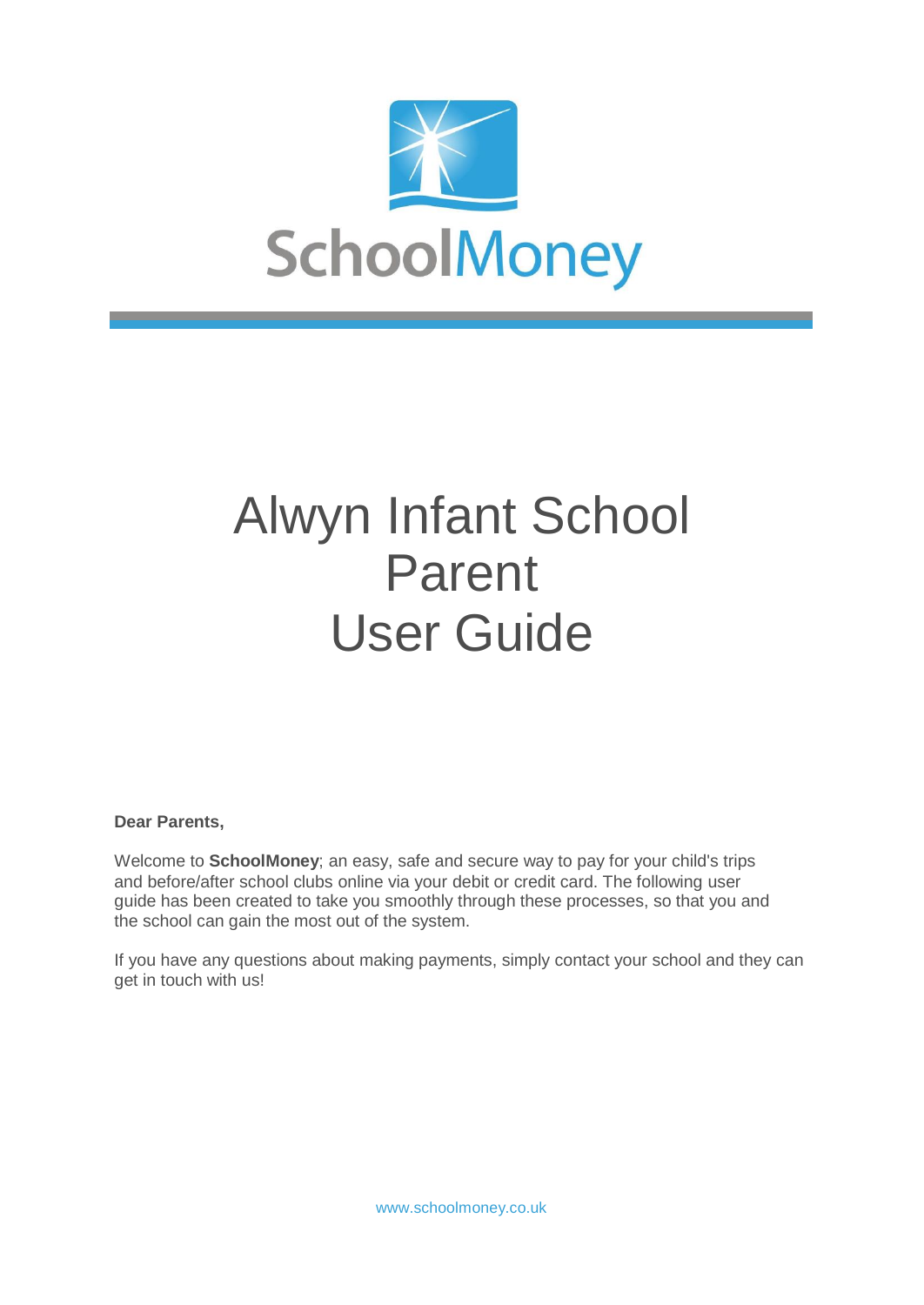

# Alwyn Infant School Parent User Guide

#### **Dear Parents,**

Welcome to **SchoolMoney**; an easy, safe and secure way to pay for your child's trips and before/after school clubs online via your debit or credit card. The following user guide has been created to take you smoothly through these processes, so that you and the school can gain the most out of the system.

If you have any questions about making payments, simply contact your school and they can get in touch with us!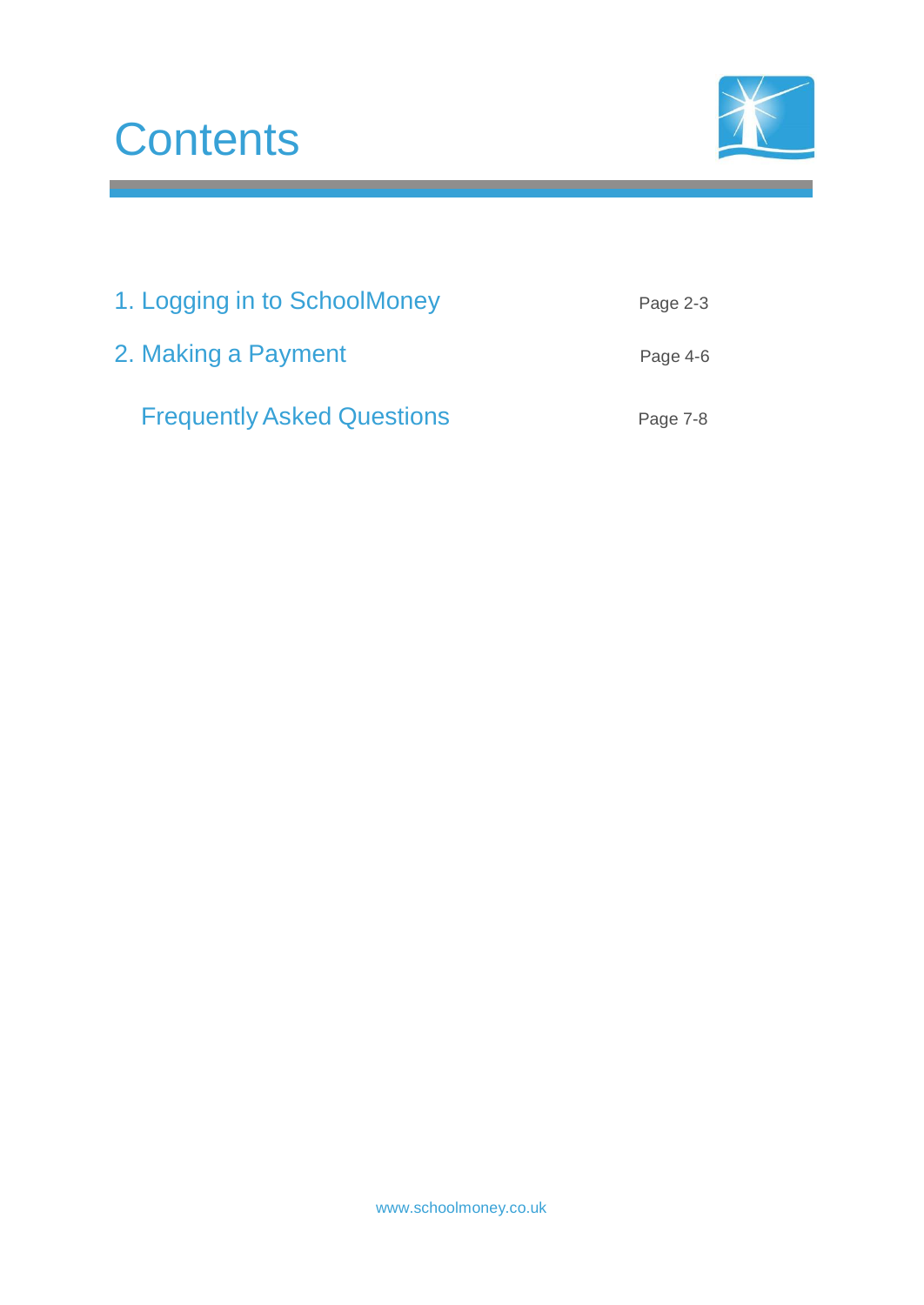## **Contents**



<u> 1989 - Johann Barnett, fransk politiker</u>

| 1. Logging in to SchoolMoney      | Page 2-3 |
|-----------------------------------|----------|
| 2. Making a Payment               | Page 4-6 |
| <b>Frequently Asked Questions</b> | Page 7-8 |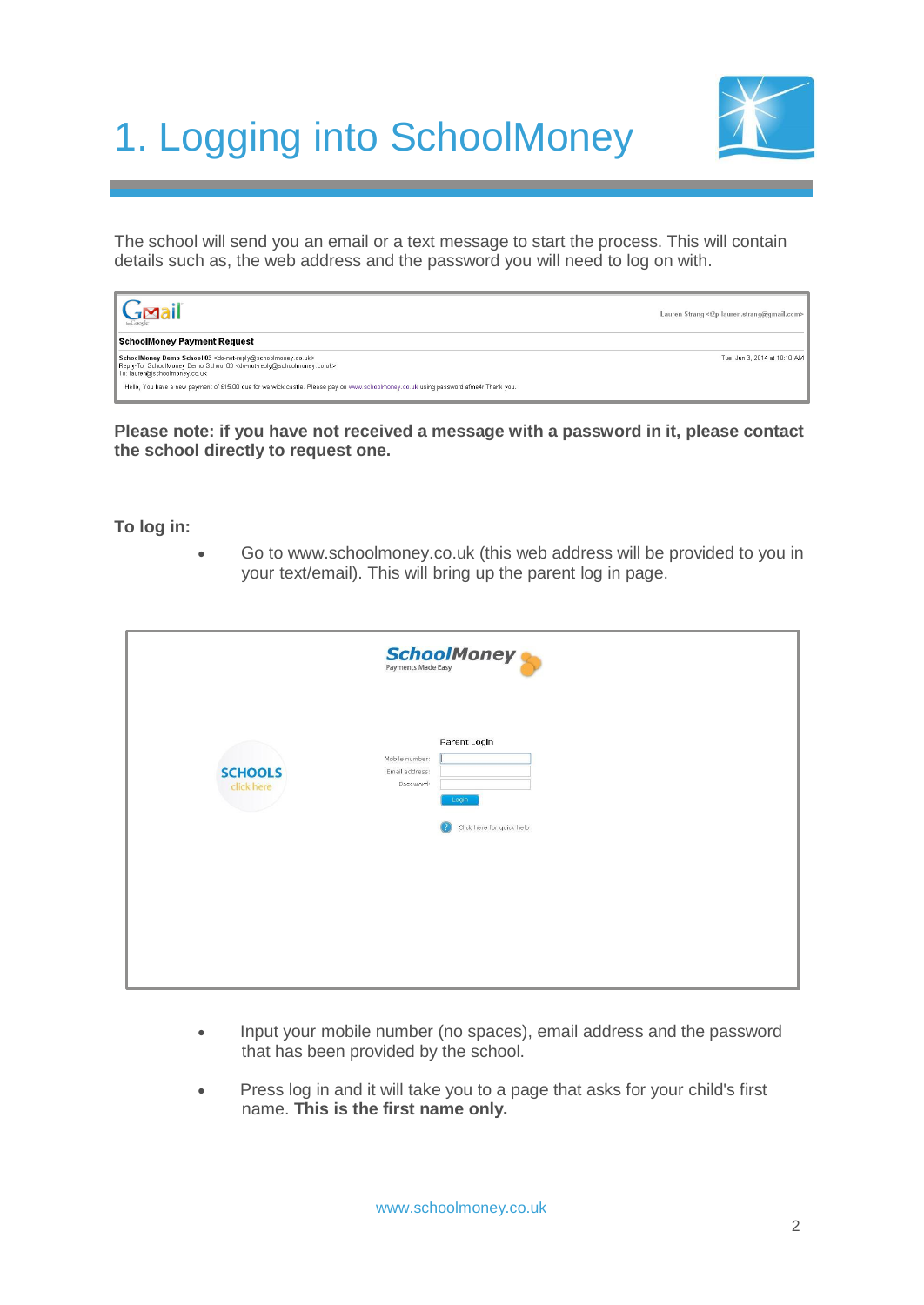### 1. Logging into SchoolMoney



The school will send you an email or a text message to start the process. This will contain details such as, the web address and the password you will need to log on with.

| $\sqrt{\frac{G_{\text{Maj}}}{G_{\text{Maj}}}}$                                                                                                                                                                                           | Lauren Strang <t2p.lauren.strang@gmail.com></t2p.lauren.strang@gmail.com> |
|------------------------------------------------------------------------------------------------------------------------------------------------------------------------------------------------------------------------------------------|---------------------------------------------------------------------------|
| <b>SchoolMoney Payment Request</b>                                                                                                                                                                                                       |                                                                           |
| SchoolMoney Demo School 03 <do-not-reply@schoolmoney.co.uk><br/>Reply-To: SchoolMoney Demo School 03 <do-not-reply@schoolmoney.co.uk><br/>To: lauren@schoolmoney.co.uk</do-not-reply@schoolmoney.co.uk></do-not-reply@schoolmoney.co.uk> | Tue, Jun 3, 2014 at 10:10 AM                                              |
| Hello, You have a new payment of £15.00 due for warwick castle. Please pay on www.schoolmoney.co.uk using password afme4r Thank you.                                                                                                     |                                                                           |

**Please note: if you have not received a message with a password in it, please contact the school directly to request one.**

**To log in:**

 Go [to www.schoolmoney.co.uk](http://www.schoolmoney.co.uk/) (this web address will be provided to you in your text/email). This will bring up the parent log in page.

|                              | <b>SchoolMoney</b>                                                                                  |
|------------------------------|-----------------------------------------------------------------------------------------------------|
| <b>SCHOOLS</b><br>click here | Parent Login<br>Mobile number:<br>Email address:<br>Password:<br>Login<br>Click here for quick help |

- Input your mobile number (no spaces), email address and the password that has been provided by the school.
- Press log in and it will take you to a page that asks for your child's first name. **This is the first name only.**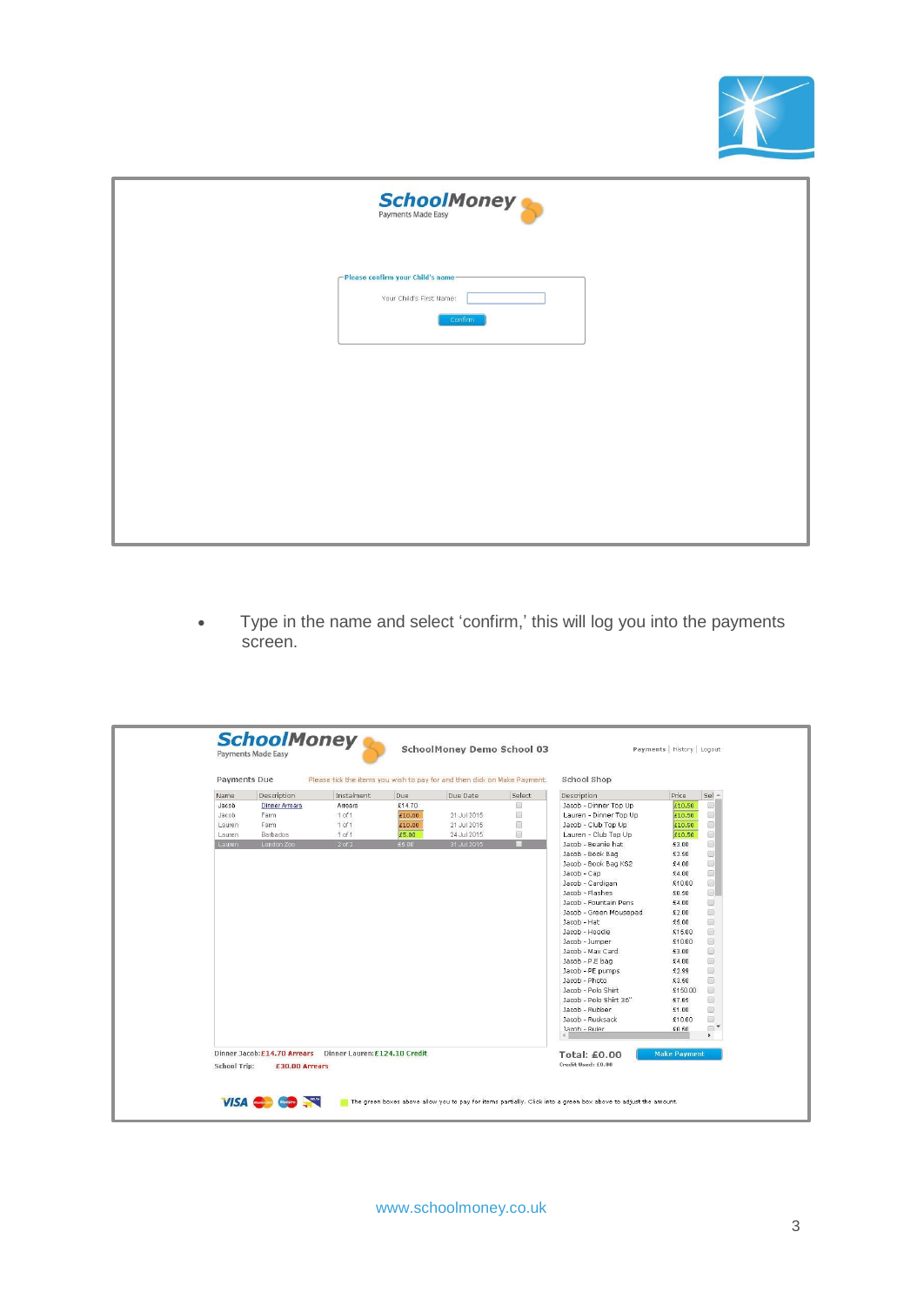

| <b>SchoolMoney</b>                                                       |
|--------------------------------------------------------------------------|
| -Please confirm your Child's name<br>Your Child's First Name:<br>Confirm |
|                                                                          |
|                                                                          |
|                                                                          |

 Type in the name and select 'confirm,' this will log you into the payments screen.

|        | <b>Payments Due</b>         |                               |        | Please tick the items you wish to pay for and then click on Make Payment. |                | School Shop            |                     |
|--------|-----------------------------|-------------------------------|--------|---------------------------------------------------------------------------|----------------|------------------------|---------------------|
| Name   | Description                 | Instalment                    | Due    | Due Date                                                                  | Select         | Description            | $Sel -$<br>Price    |
| Jacob  | <b>Dinner Arrears</b>       | Arrears                       | £14.70 |                                                                           | 画              | Jacob - Dinner Top Up  | £10.50              |
| Jacob  | Farm                        | $1$ of $1$                    | £10.00 | 21 Jul 2015                                                               | $\square$      | Lauren - Dinner Top Up | £10.50              |
| Lauren | Farm                        | $1$ of $1$                    | £10.00 | 21 Jul 2015                                                               | $\circledcirc$ | Jacob - Club Top Up    | £10.50              |
| Lauren | Barbados                    | $1$ of $1$                    | £5.00  | 24 Jul 2015                                                               | O              | Lauren - Club Top Up   | £10.50              |
| Lauren | London Zoo                  | $2$ of $2$                    | £5.00  | 31 Jul 2015                                                               | ⊓              | Jacob - Beanie hat     | £3.00               |
|        |                             |                               |        |                                                                           |                | Jacob - Book Bag       | £3.50               |
|        |                             |                               |        |                                                                           |                | Jacob - Book Bag KS2   | £4.00               |
|        |                             |                               |        |                                                                           |                | Jacob - Cap            | £4.00               |
|        |                             |                               |        |                                                                           |                | Jacob - Cardigan       | £10.00              |
|        |                             |                               |        |                                                                           |                | Jacob - Flashes        | £0.50               |
|        |                             |                               |        |                                                                           |                | Jacob - Fountain Pens  | £4.00               |
|        |                             |                               |        |                                                                           |                | Jacob - Green Mousepad | £2.00               |
|        |                             |                               |        |                                                                           |                | Jacob - Hat            | £5.00               |
|        |                             |                               |        |                                                                           |                | Jacob - Hoodie         | £15.00              |
|        |                             |                               |        |                                                                           |                | Jacob - Jumper         | £10.00              |
|        |                             |                               |        |                                                                           |                | Jacob - Max Card       | £3.00               |
|        |                             |                               |        |                                                                           |                | Jacob - P.E bag        | £4.00               |
|        |                             |                               |        |                                                                           |                | Jacob - PE pumps       | £2.99               |
|        |                             |                               |        |                                                                           |                | Jacob - Photo          | £3.50               |
|        |                             |                               |        |                                                                           |                | Jacob - Polo Shirt     | £150.00             |
|        |                             |                               |        |                                                                           |                | Jacob - Polo Shirt 36" | £7.65               |
|        |                             |                               |        |                                                                           |                | Jacob - Rubber         | £1.00               |
|        |                             |                               |        |                                                                           |                | Jacob - Rucksack       | £10.00              |
|        |                             |                               |        |                                                                           |                | Jacob - Ruler          | $f \cap 50$         |
|        | Dinner Jacob:£14.70 Arrears | Dinner Lauren: £124.10 Credit |        |                                                                           |                | Total: £0.00           | <b>Make Payment</b> |
|        |                             | £30.00 Arrears                |        |                                                                           |                | Credit Used: £0.00     |                     |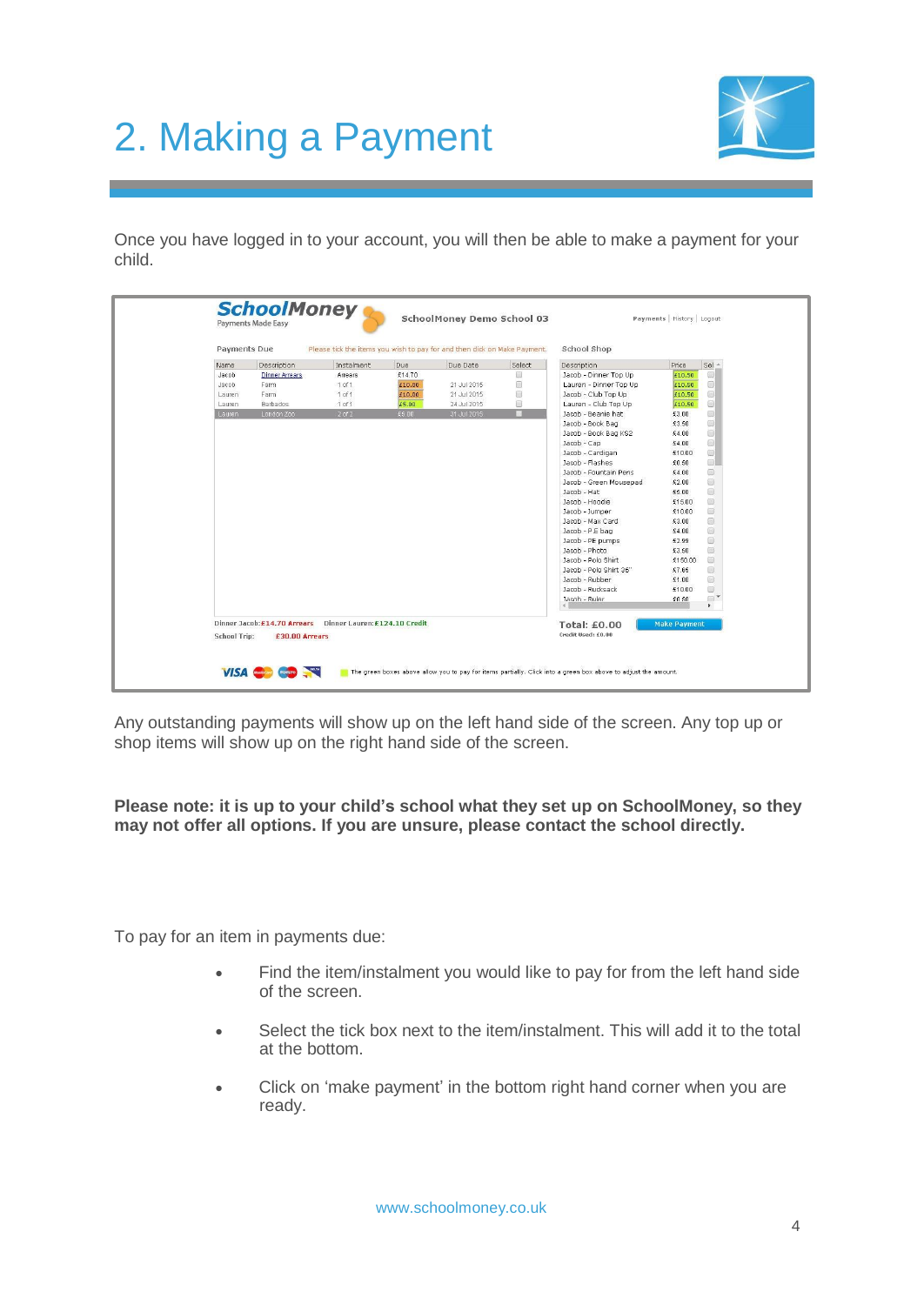### 2. Making a Payment



Once you have logged in to your account, you will then be able to make a payment for your child.

| Due Date<br>Select<br>Price<br>Description<br>Instalment<br>Due<br>Description<br>Name<br>画<br>£14.70<br>Jacob - Dinner Top Up<br>£10.50<br>Jacob<br><b>Dinner Arrears</b><br>Arrears<br>$\square$<br>Lauren - Dinner Top Up<br>1 of 1<br>£10.00<br>£10.50<br>Farm<br>21 Jul 2015<br>Jacob<br>$\circledcirc$<br>$1$ of $1$<br>Jacob - Club Top Up<br>21 Jul 2015<br>Farm<br>£10.00<br>£10.50<br>Lauren<br>£5.00<br>▣<br><b>Barbados</b><br>$1$ of $1$<br>24 Jul 2015<br>Lauren - Club Top Up<br>£10.50<br>Lauren<br>$2$ of $2$<br>п<br>London Zoo<br>£5.00<br>31 Jul 2015<br>Jacob - Beanie hat<br>£3.00<br>Lauren<br>Jacob - Book Bag<br>£3.50<br>Jacob - Book Bag KS2<br>£4.00<br>Jacob - Cap<br>£4.00<br>Jacob - Cardigan<br>£10.00<br>Jacob - Flashes<br>£0.50 | $Sel -$                                                                                                                                                                                                                                                                                                                                                  |
|--------------------------------------------------------------------------------------------------------------------------------------------------------------------------------------------------------------------------------------------------------------------------------------------------------------------------------------------------------------------------------------------------------------------------------------------------------------------------------------------------------------------------------------------------------------------------------------------------------------------------------------------------------------------------------------------------------------------------------------------------------------------|----------------------------------------------------------------------------------------------------------------------------------------------------------------------------------------------------------------------------------------------------------------------------------------------------------------------------------------------------------|
|                                                                                                                                                                                                                                                                                                                                                                                                                                                                                                                                                                                                                                                                                                                                                                    | $\circ$<br>$\Box$<br>同<br>$\qquad \qquad \Box$<br>$\Box$                                                                                                                                                                                                                                                                                                 |
|                                                                                                                                                                                                                                                                                                                                                                                                                                                                                                                                                                                                                                                                                                                                                                    |                                                                                                                                                                                                                                                                                                                                                          |
|                                                                                                                                                                                                                                                                                                                                                                                                                                                                                                                                                                                                                                                                                                                                                                    |                                                                                                                                                                                                                                                                                                                                                          |
|                                                                                                                                                                                                                                                                                                                                                                                                                                                                                                                                                                                                                                                                                                                                                                    |                                                                                                                                                                                                                                                                                                                                                          |
|                                                                                                                                                                                                                                                                                                                                                                                                                                                                                                                                                                                                                                                                                                                                                                    |                                                                                                                                                                                                                                                                                                                                                          |
|                                                                                                                                                                                                                                                                                                                                                                                                                                                                                                                                                                                                                                                                                                                                                                    |                                                                                                                                                                                                                                                                                                                                                          |
|                                                                                                                                                                                                                                                                                                                                                                                                                                                                                                                                                                                                                                                                                                                                                                    | $\begin{picture}(20,20) \put(0,0){\line(1,0){10}} \put(15,0){\line(1,0){10}} \put(15,0){\line(1,0){10}} \put(15,0){\line(1,0){10}} \put(15,0){\line(1,0){10}} \put(15,0){\line(1,0){10}} \put(15,0){\line(1,0){10}} \put(15,0){\line(1,0){10}} \put(15,0){\line(1,0){10}} \put(15,0){\line(1,0){10}} \put(15,0){\line(1,0){10}} \put(15,0){\line(1$      |
|                                                                                                                                                                                                                                                                                                                                                                                                                                                                                                                                                                                                                                                                                                                                                                    | $\Box$                                                                                                                                                                                                                                                                                                                                                   |
|                                                                                                                                                                                                                                                                                                                                                                                                                                                                                                                                                                                                                                                                                                                                                                    | $\circ$                                                                                                                                                                                                                                                                                                                                                  |
|                                                                                                                                                                                                                                                                                                                                                                                                                                                                                                                                                                                                                                                                                                                                                                    | $\qquad \qquad \text{ } \qquad \qquad \Box$                                                                                                                                                                                                                                                                                                              |
|                                                                                                                                                                                                                                                                                                                                                                                                                                                                                                                                                                                                                                                                                                                                                                    | o.                                                                                                                                                                                                                                                                                                                                                       |
| Jacob - Fountain Pens<br>£4.00<br>£2.00                                                                                                                                                                                                                                                                                                                                                                                                                                                                                                                                                                                                                                                                                                                            | 8                                                                                                                                                                                                                                                                                                                                                        |
| Jacob - Green Mousepad<br>£5.00<br>Jacob - Hat                                                                                                                                                                                                                                                                                                                                                                                                                                                                                                                                                                                                                                                                                                                     | Θ<br>$\begin{picture}(20,20) \put(0,0){\line(1,0){10}} \put(15,0){\line(1,0){10}} \put(15,0){\line(1,0){10}} \put(15,0){\line(1,0){10}} \put(15,0){\line(1,0){10}} \put(15,0){\line(1,0){10}} \put(15,0){\line(1,0){10}} \put(15,0){\line(1,0){10}} \put(15,0){\line(1,0){10}} \put(15,0){\line(1,0){10}} \put(15,0){\line(1,0){10}} \put(15,0){\line(1$ |
| Jacob - Hoodie<br>£15.00                                                                                                                                                                                                                                                                                                                                                                                                                                                                                                                                                                                                                                                                                                                                           | $\Box$                                                                                                                                                                                                                                                                                                                                                   |
| Jacob - Jumper<br>£10.00                                                                                                                                                                                                                                                                                                                                                                                                                                                                                                                                                                                                                                                                                                                                           | $\Box$                                                                                                                                                                                                                                                                                                                                                   |
| Jacob - Max Card<br>£3.00                                                                                                                                                                                                                                                                                                                                                                                                                                                                                                                                                                                                                                                                                                                                          | 8                                                                                                                                                                                                                                                                                                                                                        |
| Jacob - P.E bag<br>£4.00                                                                                                                                                                                                                                                                                                                                                                                                                                                                                                                                                                                                                                                                                                                                           | 0                                                                                                                                                                                                                                                                                                                                                        |
| Jacob - PE pumps<br>£2.99                                                                                                                                                                                                                                                                                                                                                                                                                                                                                                                                                                                                                                                                                                                                          | $\Box$                                                                                                                                                                                                                                                                                                                                                   |
| Jacob - Photo<br>£3.50                                                                                                                                                                                                                                                                                                                                                                                                                                                                                                                                                                                                                                                                                                                                             | O)                                                                                                                                                                                                                                                                                                                                                       |
| Jacob - Polo Shirt<br>£150.00                                                                                                                                                                                                                                                                                                                                                                                                                                                                                                                                                                                                                                                                                                                                      | $\circledcirc$                                                                                                                                                                                                                                                                                                                                           |
| Jacob - Polo Shirt 36"<br>£7.65                                                                                                                                                                                                                                                                                                                                                                                                                                                                                                                                                                                                                                                                                                                                    | $\begin{picture}(20,20) \put(0,0){\line(1,0){10}} \put(15,0){\line(1,0){10}} \put(15,0){\line(1,0){10}} \put(15,0){\line(1,0){10}} \put(15,0){\line(1,0){10}} \put(15,0){\line(1,0){10}} \put(15,0){\line(1,0){10}} \put(15,0){\line(1,0){10}} \put(15,0){\line(1,0){10}} \put(15,0){\line(1,0){10}} \put(15,0){\line(1,0){10}} \put(15,0){\line(1$      |
| Jacob - Rubber<br>£1.00                                                                                                                                                                                                                                                                                                                                                                                                                                                                                                                                                                                                                                                                                                                                            | 回                                                                                                                                                                                                                                                                                                                                                        |
| Jacob - Rucksack<br>£10.00                                                                                                                                                                                                                                                                                                                                                                                                                                                                                                                                                                                                                                                                                                                                         | $\Box$                                                                                                                                                                                                                                                                                                                                                   |
| Jacob - Ruler<br>$f \cap 50$                                                                                                                                                                                                                                                                                                                                                                                                                                                                                                                                                                                                                                                                                                                                       | $\Box$                                                                                                                                                                                                                                                                                                                                                   |
|                                                                                                                                                                                                                                                                                                                                                                                                                                                                                                                                                                                                                                                                                                                                                                    | $\blacktriangleright$<br><b>Make Payment</b>                                                                                                                                                                                                                                                                                                             |

Any outstanding payments will show up on the left hand side of the screen. Any top up or shop items will show up on the right hand side of the screen.

**Please note: it is up to your child's school what they set up on SchoolMoney, so they may not offer all options. If you are unsure, please contact the school directly.**

To pay for an item in payments due:

- Find the item/instalment you would like to pay for from the left hand side of the screen.
- Select the tick box next to the item/instalment. This will add it to the total at the bottom.
- Click on 'make payment' in the bottom right hand corner when you are ready.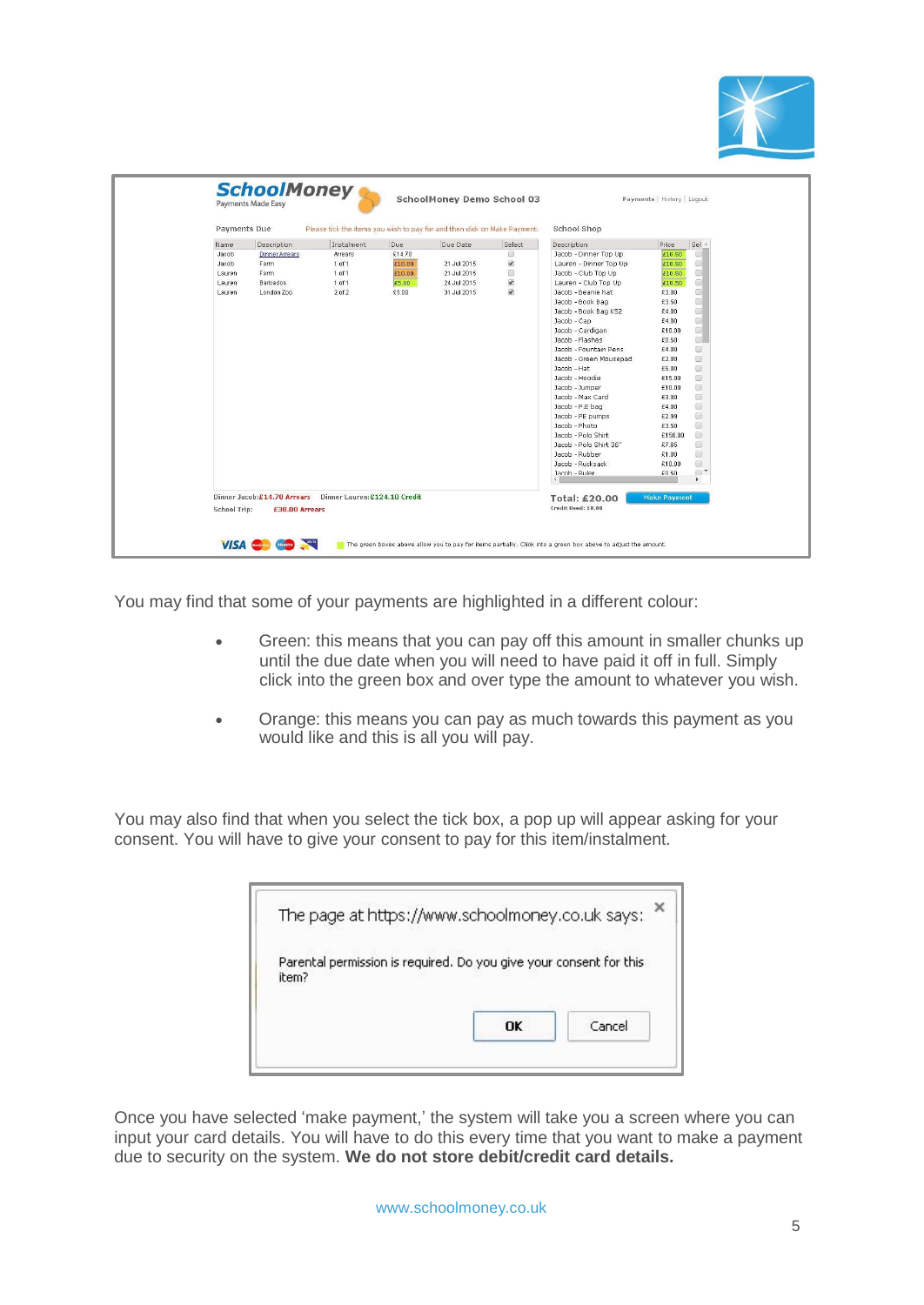

| Payments Due |                                                               | Please tick the items you wish to pay for and then click on Make Payment. |        |             |                          | School Shop             |                     |                                             |
|--------------|---------------------------------------------------------------|---------------------------------------------------------------------------|--------|-------------|--------------------------|-------------------------|---------------------|---------------------------------------------|
| Name         | Description                                                   | Instalment                                                                | Due    | Due Date    | Select                   | Description             | Price               | $Sel -$                                     |
| Jacob        | <b>Dinner Arrears</b>                                         | Arrears                                                                   | £14.70 |             | 0                        | Jacob - Dinner Top Up   | £10.50              | $\Box$                                      |
| Jacob        | Farm                                                          | 1 of 1                                                                    | £10.00 | 21 Jul 2015 | $\overline{\mathcal{L}}$ | Lauren - Dinner Top Up  | £10.50              | 回                                           |
| Lauren       | Farm                                                          | 1 of 1                                                                    | £10.00 | 21 Jul 2015 | Θ                        | Jacob - Club Top Up     | £10.50              | 画                                           |
| Lauren       | <b>Barbados</b>                                               | 1 of 1                                                                    | £5.00  | 24 Jul 2015 | $\overline{\mathcal{L}}$ | Lauren - Club Top Up    | £10.50              | $\Box$                                      |
| Lauren       | London Zoo                                                    | $2$ of $2$                                                                | £5.00  | 31 Jul 2015 | $\overline{\mathcal{L}}$ | Jacob - Beanie hat      | £3.00               | 回                                           |
|              |                                                               |                                                                           |        |             |                          | Jacob - Book Bag        | £3.50               | $\Box$                                      |
|              |                                                               |                                                                           |        |             |                          | Jacob - Book Bag KS2    | £4.00               | 画                                           |
|              |                                                               |                                                                           |        |             |                          | Jacob - Cap             | £4.00               | 回                                           |
|              |                                                               |                                                                           |        |             |                          | Jacob - Cardigan        | £10.00              | $\Box$                                      |
|              |                                                               |                                                                           |        |             |                          | Jacob - Flashes         | £0.50               | $\Box$                                      |
|              |                                                               |                                                                           |        |             |                          | Jacob - Fountain Pens   | £4.00               | $\qquad \qquad \Box$                        |
|              |                                                               |                                                                           |        |             |                          | Jacob - Green Mousepad  | £2.00               | $\Box$                                      |
|              |                                                               |                                                                           |        |             |                          | Jacob - Hat             | £5.00               | $\boxed{53}$                                |
|              |                                                               |                                                                           |        |             |                          | Jacob - Hoodie          | £15.00              | $\square$                                   |
|              |                                                               |                                                                           |        |             |                          | Jacob - Jumper          | £10.00              | 回                                           |
|              |                                                               |                                                                           |        |             |                          | Jacob - Max Card        | £3.00               | $\qquad \qquad \text{ } \qquad \qquad \Box$ |
|              |                                                               |                                                                           |        |             |                          | Jacob - P.E bag         | £4.00               | $\Box$                                      |
|              |                                                               |                                                                           |        |             |                          | Jacob - PE pumps        | £2.99               | 回                                           |
|              |                                                               |                                                                           |        |             |                          | Jacob - Photo           | £3.50               | $\qquad \qquad \Box$                        |
|              |                                                               |                                                                           |        |             |                          | Jacob - Polo Shirt      | £150.00             | $\Box$                                      |
|              |                                                               |                                                                           |        |             |                          | Jacob - Polo Shirt 36"  | £7.65               | 回                                           |
|              |                                                               |                                                                           |        |             |                          | Jacob - Rubber          | £1.00               | $\Box$                                      |
|              |                                                               |                                                                           |        |             |                          | Jacob - Rucksack        | £10.00              | 回                                           |
|              |                                                               |                                                                           |        |             |                          | Jacob - Ruler<br>$\leq$ | \$0.50              | $\Box$<br>$\blacktriangleright$             |
|              | Dinner Jacob: £14.70 Arrears    Dinner Lauren: £124.10 Credit |                                                                           |        |             |                          |                         |                     |                                             |
|              |                                                               |                                                                           |        |             |                          | Total: £20.00           | <b>Make Payment</b> |                                             |
| School Trip: | £30.00 Arrears                                                |                                                                           |        |             |                          | Credit Used: £0.00      |                     |                                             |

You may find that some of your payments are highlighted in a different colour:

- Green: this means that you can pay off this amount in smaller chunks up until the due date when you will need to have paid it off in full. Simply click into the green box and over type the amount to whatever you wish.
- Orange: this means you can pay as much towards this payment as you would like and this is all you will pay.

You may also find that when you select the tick box, a pop up will appear asking for your consent. You will have to give your consent to pay for this item/instalment.

| Parental permission is required. Do you give your consent for this |        |
|--------------------------------------------------------------------|--------|
|                                                                    |        |
|                                                                    | Cancel |
|                                                                    | OK     |

Once you have selected 'make payment,' the system will take you a screen where you can input your card details. You will have to do this every time that you want to make a payment due to security on the system. **We do not store debit/credit card details.**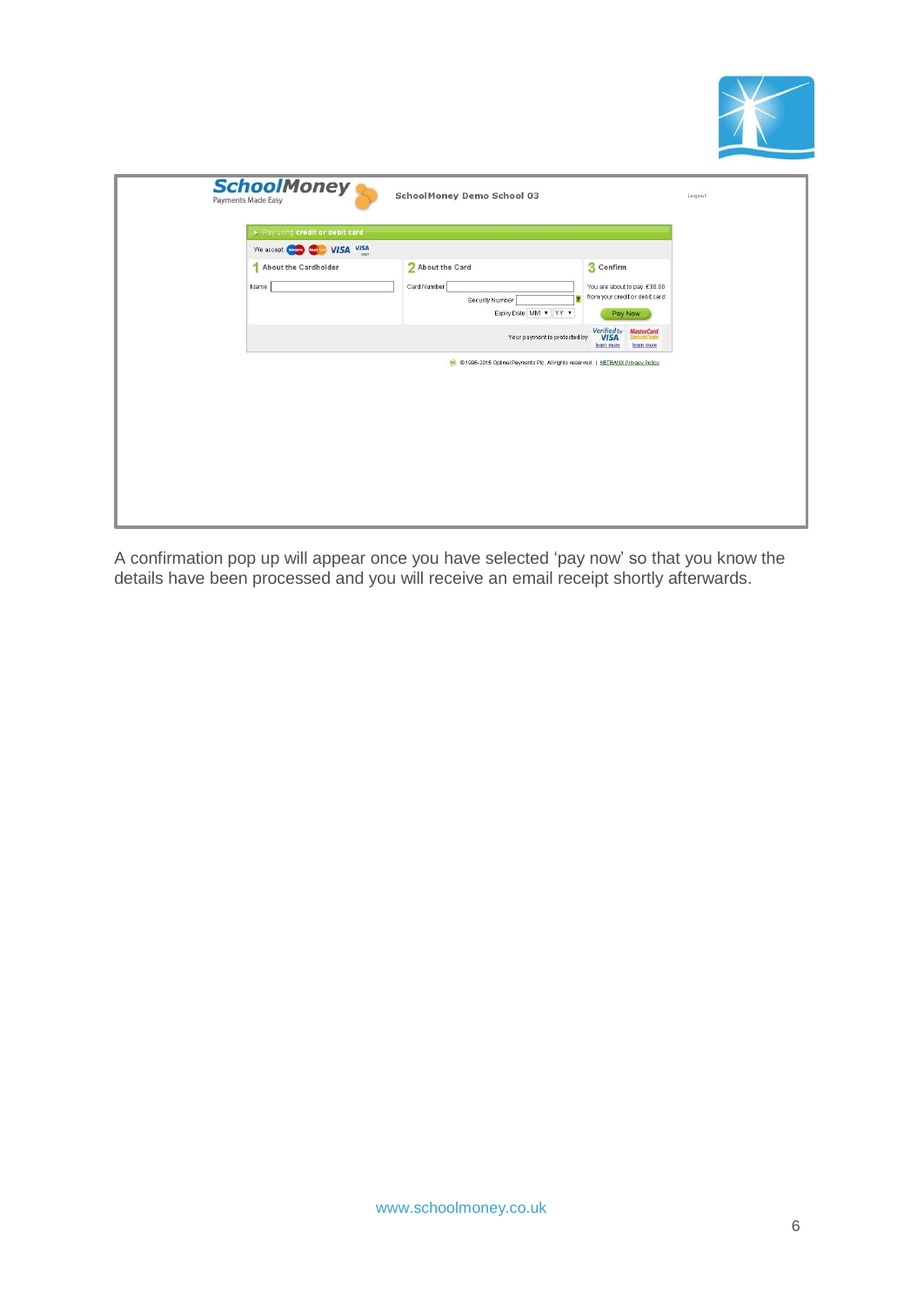

| <b>SchoolMoney</b><br>Payments Made Easy | SchoolMoney Demo School 03                                                                                                                                                                                               | Logout |
|------------------------------------------|--------------------------------------------------------------------------------------------------------------------------------------------------------------------------------------------------------------------------|--------|
| Pay using credit or debit card           |                                                                                                                                                                                                                          |        |
| We accept <b>Code Code VISA</b> VISA     |                                                                                                                                                                                                                          |        |
| About the Cardholder<br>Name             | 3 Confirm<br>2 About the Card<br>Card Number<br>You are about to pay £30.00<br>from your credit or debit card:<br>Security Number<br>Expiry Date MM v YY v<br>Pay Now<br>Verified by<br><b>VISA</b><br><b>MasterCard</b> |        |
|                                          | Your payment is protected by:<br>ecureCode<br>learn more<br>learn more<br>@ 1996-2015 Optimal Payments Plc. All rights reserved.   NETBANX Privacy Policy                                                                |        |

A confirmation pop up will appear once you have selected 'pay now' so that you know the details have been processed and you will receive an email receipt shortly afterwards.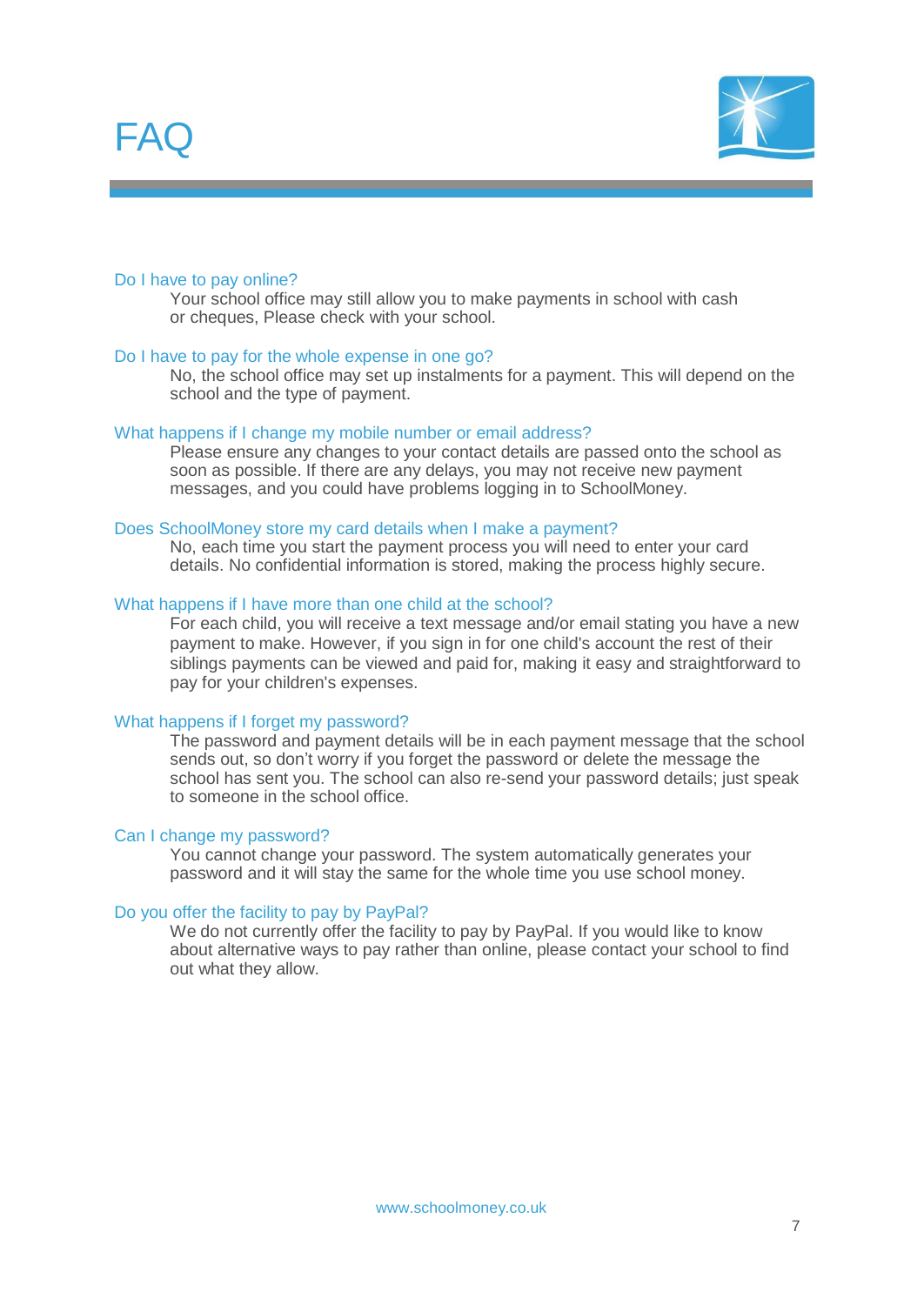



#### Do I have to pay online?

Your school office may still allow you to make payments in school with cash or cheques, Please check with your school.

#### Do I have to pay for the whole expense in one go?

No, the school office may set up instalments for a payment. This will depend on the school and the type of payment.

#### What happens if I change my mobile number or email address?

Please ensure any changes to your contact details are passed onto the school as soon as possible. If there are any delays, you may not receive new payment messages, and you could have problems logging in to SchoolMoney.

#### Does SchoolMoney store my card details when I make a payment?

No, each time you start the payment process you will need to enter your card details. No confidential information is stored, making the process highly secure.

#### What happens if I have more than one child at the school?

For each child, you will receive a text message and/or email stating you have a new payment to make. However, if you sign in for one child's account the rest of their siblings payments can be viewed and paid for, making it easy and straightforward to pay for your children's expenses.

#### What happens if I forget my password?

The password and payment details will be in each payment message that the school sends out, so don't worry if you forget the password or delete the message the school has sent you. The school can also re-send your password details; just speak to someone in the school office.

#### Can I change my password?

You cannot change your password. The system automatically generates your password and it will stay the same for the whole time you use school money.

#### Do you offer the facility to pay by PayPal?

We do not currently offer the facility to pay by PayPal. If you would like to know about alternative ways to pay rather than online, please contact your school to find out what they allow.